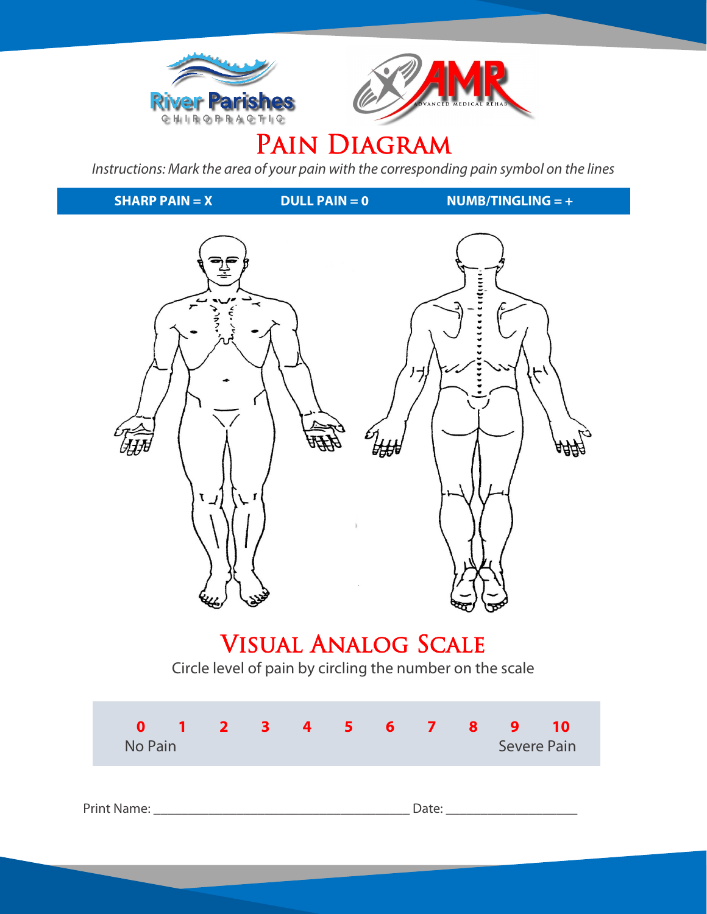



# PAIN DIAGRAM

*Instructions: Mark the area of your pain with the corresponding pain symbol on the lines*

**DULL PAIN = 0** Visual Analog Scale Circle level of pain by circling the number on the scale **0 1 2 3 4 5 6 7 8 9 10** No Pain Severe Pain Severe Pain **SHARP PAIN = X DULL PAIN = 0 NUMB/TINGLING = +**

Print Name: \_\_\_\_\_\_\_\_\_\_\_\_\_\_\_\_\_\_\_\_\_\_\_\_\_\_\_\_\_\_\_\_\_\_\_\_\_ Date: \_\_\_\_\_\_\_\_\_\_\_\_\_\_\_\_\_\_\_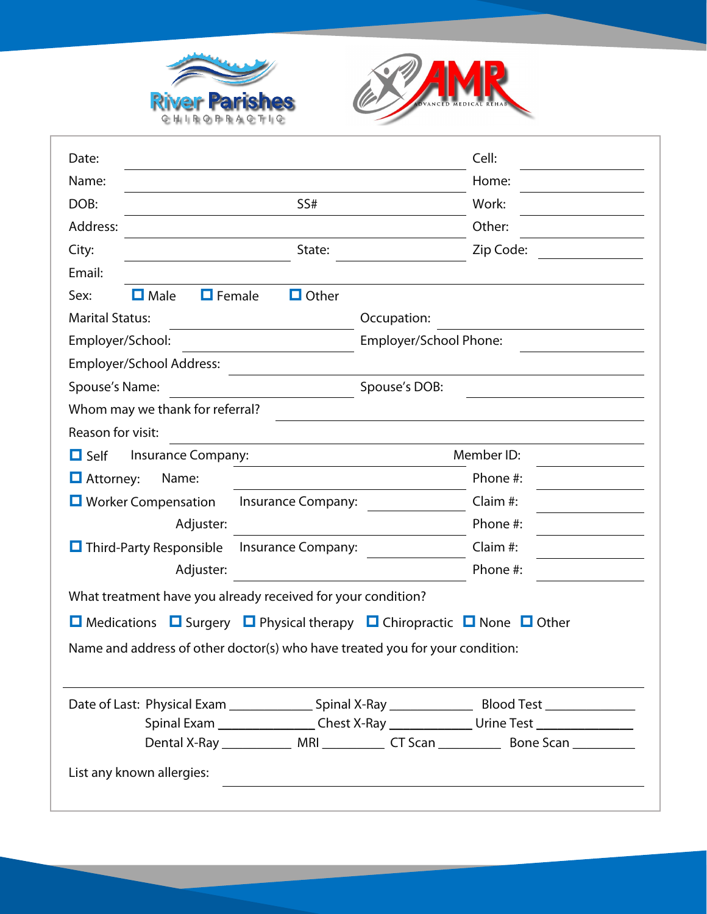



| Date:                                                                                                             | Cell:                                                                             |  |  |  |  |  |  |
|-------------------------------------------------------------------------------------------------------------------|-----------------------------------------------------------------------------------|--|--|--|--|--|--|
| Name:                                                                                                             | Home:                                                                             |  |  |  |  |  |  |
| DOB:<br>SS#                                                                                                       | Work:                                                                             |  |  |  |  |  |  |
| Address:                                                                                                          | Other:                                                                            |  |  |  |  |  |  |
| State:<br>City:                                                                                                   | Zip Code:                                                                         |  |  |  |  |  |  |
| Email:                                                                                                            |                                                                                   |  |  |  |  |  |  |
| $\Box$ Male<br>$\Box$ Female<br>$\Box$ Other<br>Sex:                                                              |                                                                                   |  |  |  |  |  |  |
| <b>Marital Status:</b>                                                                                            | Occupation:                                                                       |  |  |  |  |  |  |
| Employer/School:                                                                                                  | Employer/School Phone:                                                            |  |  |  |  |  |  |
| Employer/School Address:                                                                                          |                                                                                   |  |  |  |  |  |  |
| Spouse's Name:                                                                                                    | Spouse's DOB:                                                                     |  |  |  |  |  |  |
| Whom may we thank for referral?                                                                                   |                                                                                   |  |  |  |  |  |  |
| Reason for visit:                                                                                                 |                                                                                   |  |  |  |  |  |  |
| $\Box$ Self<br>Insurance Company:                                                                                 | Member ID:                                                                        |  |  |  |  |  |  |
| $\Box$ Attorney:<br>Name:                                                                                         | Phone #:                                                                          |  |  |  |  |  |  |
| $\Box$ Worker Compensation<br>Insurance Company:                                                                  | Claim #:                                                                          |  |  |  |  |  |  |
| Adjuster:                                                                                                         | Phone #:                                                                          |  |  |  |  |  |  |
| $\Box$ Third-Party Responsible<br>Insurance Company:                                                              | Claim #:                                                                          |  |  |  |  |  |  |
| Adjuster:                                                                                                         | Phone #:                                                                          |  |  |  |  |  |  |
| What treatment have you already received for your condition?                                                      |                                                                                   |  |  |  |  |  |  |
| $\Box$ Surgery $\Box$ Physical therapy $\Box$ Chiropractic $\Box$ None $\Box$ Other<br>$\blacksquare$ Medications |                                                                                   |  |  |  |  |  |  |
| Name and address of other doctor(s) who have treated you for your condition:                                      |                                                                                   |  |  |  |  |  |  |
|                                                                                                                   |                                                                                   |  |  |  |  |  |  |
|                                                                                                                   |                                                                                   |  |  |  |  |  |  |
|                                                                                                                   | Spinal Exam __________________Chest X-Ray _________________Urine Test ___________ |  |  |  |  |  |  |
|                                                                                                                   |                                                                                   |  |  |  |  |  |  |
| List any known allergies:                                                                                         |                                                                                   |  |  |  |  |  |  |
|                                                                                                                   |                                                                                   |  |  |  |  |  |  |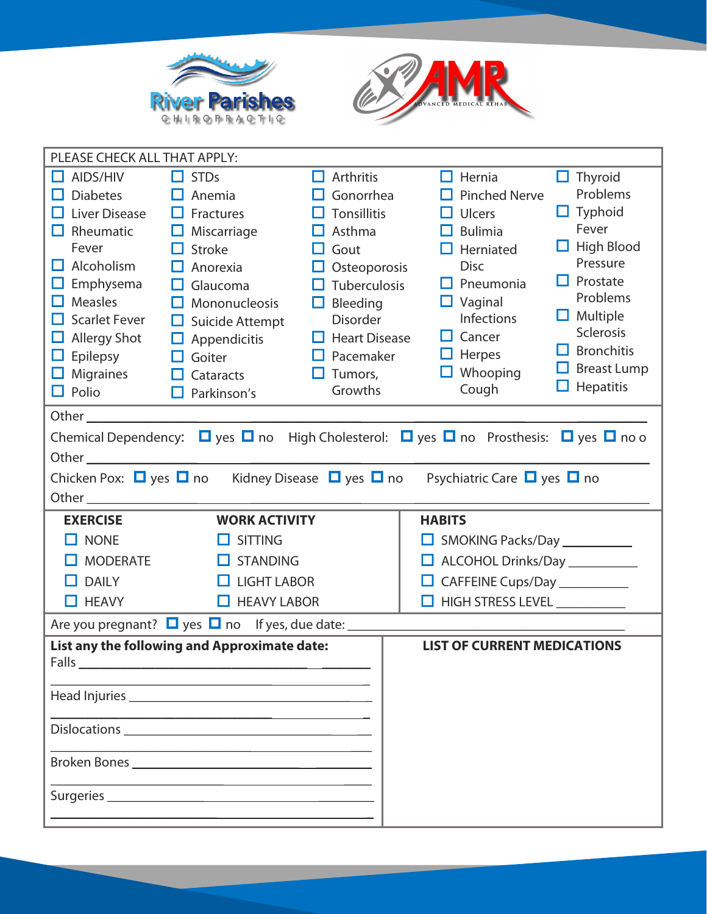



| PLEASE CHECK ALL THAT APPLY:                                                                                                                                                                                                                                                                                                                                                                                                                                                  |                                                                                                                                                                                                                                                                                |                                                                                                                                                                                                                                         |                                                                                                                                                                                                                  |                                                                                                                                                                                                                             |  |  |  |  |
|-------------------------------------------------------------------------------------------------------------------------------------------------------------------------------------------------------------------------------------------------------------------------------------------------------------------------------------------------------------------------------------------------------------------------------------------------------------------------------|--------------------------------------------------------------------------------------------------------------------------------------------------------------------------------------------------------------------------------------------------------------------------------|-----------------------------------------------------------------------------------------------------------------------------------------------------------------------------------------------------------------------------------------|------------------------------------------------------------------------------------------------------------------------------------------------------------------------------------------------------------------|-----------------------------------------------------------------------------------------------------------------------------------------------------------------------------------------------------------------------------|--|--|--|--|
| AIDS/HIV<br>□<br><b>Diabetes</b><br>H<br>Liver Disease<br>H<br>$\Box$ Rheumatic<br>Fever<br>Alcoholism<br>H<br>Emphysema<br>ப<br><b>Measles</b><br>ш<br>$\Box$ Scarlet Fever<br>$\Box$ Allergy Shot<br>Epilepsy<br>$\Box$<br>$\Box$ Migraines<br>$\Box$ Polio                                                                                                                                                                                                                 | $\Box$ STDs<br>Anemia<br>Fractures<br>ப<br>Miscarriage<br>ப<br><b>Stroke</b><br>Ħ<br>Anorexia<br>Glaucoma<br>Mononucleosis<br>H<br>Suicide Attempt<br>ш<br>Appendicitis<br>$\Box$<br>Goiter<br>□<br>Cataracts<br>Parkinson's<br>$\Box$                                         | 0<br>Arthritis<br>Gonorrhea<br><b>Tonsillitis</b><br>H<br>Asthma<br>ப<br>Gout<br>H<br>Osteoporosis<br>ш<br>Tuberculosis<br>ப<br>Bleeding<br>$\Box$<br><b>Disorder</b><br>$\Box$ Heart Disease<br>$\Box$ Pacemaker<br>Tumors,<br>Growths | П<br>Hernia<br><b>Pinched Nerve</b><br><b>Ulcers</b><br>H<br><b>Bulimia</b><br>H<br>Herniated<br><b>Disc</b><br>$\Box$ Pneumonia<br>$\Box$ Vaginal<br>Infections<br>Cancer<br>$\Box$ Herpes<br>Whooping<br>Cough | $\Box$ Thyroid<br>Problems<br>$\Box$ Typhoid<br>Fever<br>$\Box$ High Blood<br>Pressure<br>$\Box$ Prostate<br>Problems<br>$\Box$ Multiple<br>Sclerosis<br><b>Bronchitis</b><br>I I<br>$\Box$ Breast Lump<br>$\Box$ Hepatitis |  |  |  |  |
|                                                                                                                                                                                                                                                                                                                                                                                                                                                                               |                                                                                                                                                                                                                                                                                |                                                                                                                                                                                                                                         |                                                                                                                                                                                                                  |                                                                                                                                                                                                                             |  |  |  |  |
| Chemical Dependency: $\Box$ yes $\Box$ no High Cholesterol: $\Box$ yes $\Box$ no Prosthesis: $\Box$ yes $\Box$ no o<br>Other <u>with the community of the community of the community of the community of the community of the community of the community of the community of the community of the community of the community of the community of the co</u><br>Chicken Pox: $\Box$ yes $\Box$ no Kidney Disease $\Box$ yes $\Box$ no<br>Psychiatric Care $\Box$ yes $\Box$ no |                                                                                                                                                                                                                                                                                |                                                                                                                                                                                                                                         |                                                                                                                                                                                                                  |                                                                                                                                                                                                                             |  |  |  |  |
|                                                                                                                                                                                                                                                                                                                                                                                                                                                                               |                                                                                                                                                                                                                                                                                |                                                                                                                                                                                                                                         |                                                                                                                                                                                                                  |                                                                                                                                                                                                                             |  |  |  |  |
| <b>EXERCISE</b>                                                                                                                                                                                                                                                                                                                                                                                                                                                               | <b>WORK ACTIVITY</b>                                                                                                                                                                                                                                                           |                                                                                                                                                                                                                                         | <b>HABITS</b>                                                                                                                                                                                                    |                                                                                                                                                                                                                             |  |  |  |  |
| <b>NONE</b>                                                                                                                                                                                                                                                                                                                                                                                                                                                                   | <b>SITTING</b><br>$\Box$                                                                                                                                                                                                                                                       |                                                                                                                                                                                                                                         | SMOKING Packs/Day ___________                                                                                                                                                                                    |                                                                                                                                                                                                                             |  |  |  |  |
| <b>MODERATE</b>                                                                                                                                                                                                                                                                                                                                                                                                                                                               | <b>STANDING</b><br>Ħ                                                                                                                                                                                                                                                           |                                                                                                                                                                                                                                         | ALCOHOL Drinks/Day                                                                                                                                                                                               |                                                                                                                                                                                                                             |  |  |  |  |
| <b>DAILY</b><br>H.                                                                                                                                                                                                                                                                                                                                                                                                                                                            | <b>LIGHT LABOR</b><br>□                                                                                                                                                                                                                                                        |                                                                                                                                                                                                                                         | CAFFEINE Cups/Day __________                                                                                                                                                                                     |                                                                                                                                                                                                                             |  |  |  |  |
| $\Box$ HEAVY                                                                                                                                                                                                                                                                                                                                                                                                                                                                  | $\Box$ HEAVY LABOR                                                                                                                                                                                                                                                             |                                                                                                                                                                                                                                         |                                                                                                                                                                                                                  |                                                                                                                                                                                                                             |  |  |  |  |
|                                                                                                                                                                                                                                                                                                                                                                                                                                                                               | Are you pregnant? $\Box$ yes $\Box$ no If yes, due date: _____                                                                                                                                                                                                                 |                                                                                                                                                                                                                                         |                                                                                                                                                                                                                  |                                                                                                                                                                                                                             |  |  |  |  |
| Falls                                                                                                                                                                                                                                                                                                                                                                                                                                                                         | List any the following and Approximate date:<br>Dislocations Participation and the contract of the contract of the contract of the contract of the contract of the contract of the contract of the contract of the contract of the contract of the contract of the contract of |                                                                                                                                                                                                                                         | <b>LIST OF CURRENT MEDICATIONS</b>                                                                                                                                                                               |                                                                                                                                                                                                                             |  |  |  |  |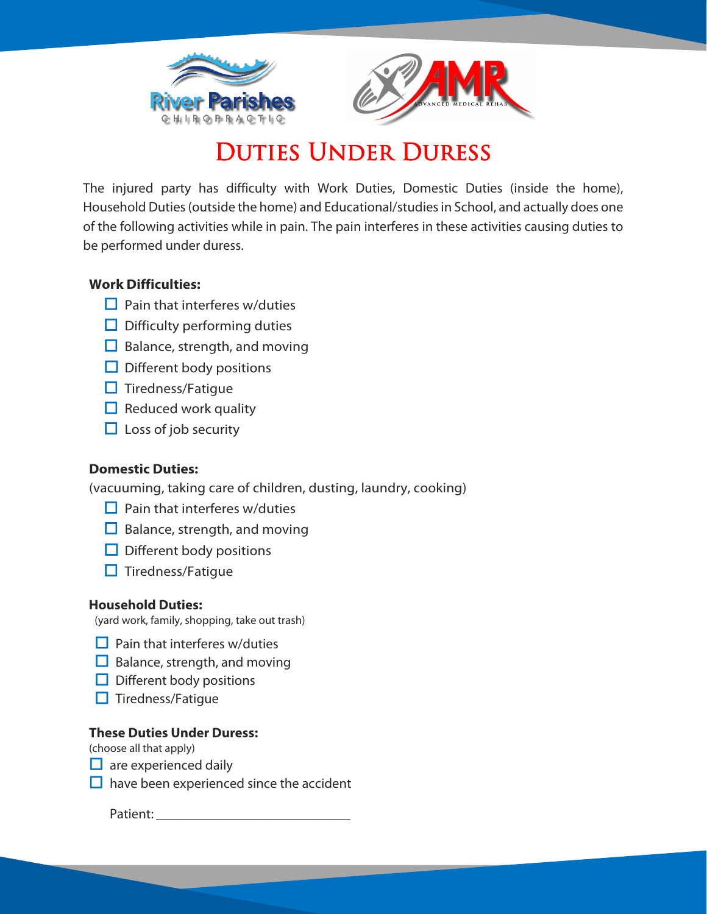



## Duties Under Duress

The injured party has difficulty with Work Duties, Domestic Duties (inside the home), Household Duties (outside the home) and Educational/studies in School, and actually does one of the following activities while in pain. The pain interferes in these activities causing duties to be performed under duress.

#### **Work Difficulties:**

- $\Box$  Pain that interferes w/duties
- $\Box$  Difficulty performing duties
- $\Box$  Balance, strength, and moving
- $\Box$  Different body positions
- $\Box$  Tiredness/Fatique
- $\Box$  Reduced work quality
- $\Box$  Loss of job security

#### **Domestic Duties:**

(vacuuming, taking care of children, dusting, laundry, cooking)

- $\Box$  Pain that interferes w/duties
- $\Box$  Balance, strength, and moving
- $\Box$  Different body positions
- $\Box$  Tiredness/Fatigue

#### **Household Duties:**

(yard work, family, shopping, take out trash)

- $\Box$  Pain that interferes w/duties
- $\Box$  Balance, strength, and moving
- $\Box$  Different body positions
- $\Box$  Tiredness/Fatigue

#### **These Duties Under Duress:**

(choose all that apply)

- $\Box$  are experienced daily
- $\Box$  have been experienced since the accident

Patient: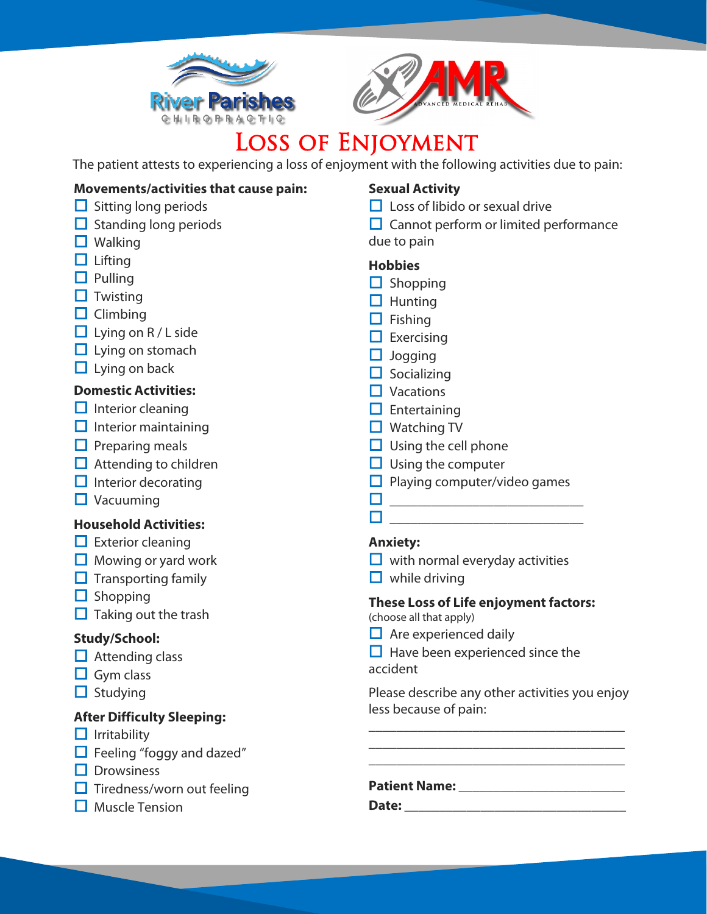



# Loss of Enjoyment

The patient attests to experiencing a loss of enjoyment with the following activities due to pain:

### **Movements/activities that cause pain:**

- $\Box$  Sitting long periods
- $\Box$  Standing long periods
- $\Box$  Walking
- $\Box$  Lifting
- $\Box$  Pulling
- $\Box$  Twisting
- $\Box$  Climbing
- $\Box$  Lying on R / L side
- $\Box$  Lying on stomach
- $\Box$  Lying on back

#### **Domestic Activities:**

- $\Box$  Interior cleaning
- $\Box$  Interior maintaining
- $\Box$  Preparing meals
- $\Box$  Attending to children
- $\Box$  Interior decorating
- $\Box$  Vacuuming

#### **Household Activities:**

- $\Box$  Exterior cleaning
- $\Box$  Mowing or yard work
- $\Box$  Transporting family
- $\Box$  Shopping
- $\Box$  Taking out the trash

#### **Study/School:**

- $\Box$  Attending class
- $\Box$  Gym class
- $\Box$  Studying

#### **After Difficulty Sleeping:**

- $\Box$  Irritability
- $\Box$  Feeling "foggy and dazed"
- $\Box$  Drowsiness
- $\square$  Tiredness/worn out feeling
- $\Box$  Muscle Tension

### **Sexual Activity**

- $\Box$  Loss of libido or sexual drive
- $\Box$  Cannot perform or limited performance due to pain

### **Hobbies**

- $\Box$  Shopping
- $\Box$  Hunting
- $\Box$  Fishing
- $\Box$  Exercising
- $\Box$  Jogging
- $\Box$  Socializing
- $\Box$  Vacations
- $\Box$  Entertaining
- $\Box$  Watching TV
- $\Box$  Using the cell phone
- $\Box$  Using the computer
- $\Box$  Playing computer/video games

\_\_\_\_\_\_\_\_\_\_\_\_\_\_\_\_\_\_\_\_\_\_\_\_\_\_\_\_

\_\_\_\_\_\_\_\_\_\_\_\_\_\_\_\_\_\_\_\_\_\_\_\_\_\_\_\_

#### **Anxiety:**

- $\Box$  with normal everyday activities
- $\Box$  while driving

### **These Loss of Life enjoyment factors:**

(choose all that apply)

 $\Box$  Are experienced daily

 $\Box$  Have been experienced since the accident

Please describe any other activities you enjoy less because of pain:

\_\_\_\_\_\_\_\_\_\_\_\_\_\_\_\_\_\_\_\_\_\_\_\_\_\_\_\_\_\_\_\_\_\_\_\_\_ \_\_\_\_\_\_\_\_\_\_\_\_\_\_\_\_\_\_\_\_\_\_\_\_\_\_\_\_\_\_\_\_\_\_\_\_\_ \_\_\_\_\_\_\_\_\_\_\_\_\_\_\_\_\_\_\_\_\_\_\_\_\_\_\_\_\_\_\_\_\_\_\_\_\_

**Patient Name: \_\_\_\_\_\_\_\_\_\_\_\_\_\_\_\_\_\_\_\_\_\_\_\_**

**Date:**  $\blacksquare$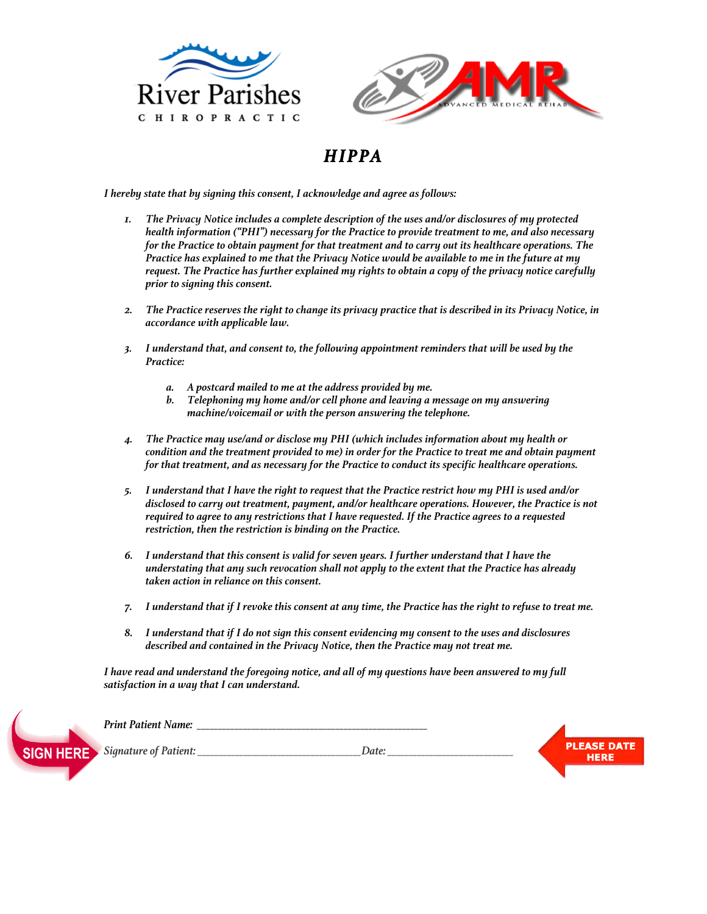



### *HIPPA*

 *I hereby state that by signing this consent, I acknowledge and agree as follows:*

- *1. The Privacy Notice includes a complete description of the uses and/or disclosures of my protected health information ("PHI") necessary for the Practice to provide treatment to me, and also necessary for the Practice to obtain payment for that treatment and to carry out its healthcare operations. The Practice has explained to me that the Privacy Notice would be available to me in the future at my request. The Practice has further explained my rights to obtain a copy of the privacy notice carefully prior to signing this consent.*
- *2. The Practice reserves the right to change its privacy practice that is described in its Privacy Notice, in accordance with applicable law.*
- *3. I understand that, and consent to, the following appointment reminders that will be used by the Practice:*
	- *a. A postcard mailed to me at the address provided by me.*
	- *b. Telephoning my home and/or cell phone and leaving a message on my answering machine/voicemail or with the person answering the telephone.*
- *4. The Practice may use/and or disclose my PHI (which includes information about my health or condition and the treatment provided to me) in order for the Practice to treat me and obtain payment for that treatment, and as necessary for the Practice to conduct its specific healthcare operations.*
- *5. I understand that I have the right to request that the Practice restrict how my PHI is used and/or disclosed to carry out treatment, payment, and/or healthcare operations. However, the Practice is not required to agree to any restrictions that I have requested. If the Practice agrees to a requested restriction, then the restriction is binding on the Practice.*
- *6. I understand that this consent is valid for seven years. I further understand that I have the understating that any such revocation shall not apply to the extent that the Practice has already taken action in reliance on this consent.*
- *7. I understand that if I revoke this consent at any time, the Practice has the right to refuse to treat me.*
- *8. I understand that if I do not sign this consent evidencing my consent to the uses and disclosures described and contained in the Privacy Notice, then the Practice may not treat me.*

*I have read and understand the foregoing notice, and all of my questions have been answered to my full satisfaction in a way that I can understand.*



*Print Patient Name:*  $\blacksquare$ **PLEASE DATE** *Signature of Patient: \_\_\_\_\_\_\_\_\_\_\_\_\_\_\_\_\_\_\_\_\_\_\_\_\_\_\_\_\_\_\_\_\_\_\_\_\_\_\_Date: \_\_\_\_\_\_\_\_\_\_\_\_\_\_\_\_\_\_\_\_\_\_\_\_\_\_\_\_\_\_***HERE**